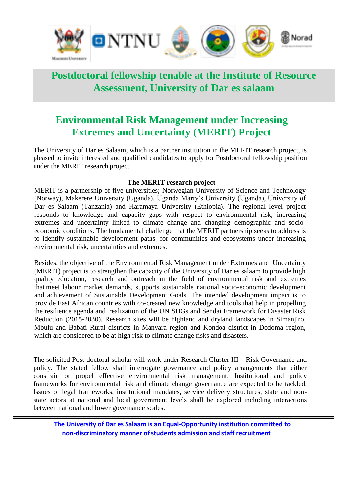

# **Postdoctoral fellowship tenable at the Institute of Resource Assessment, University of Dar es salaam**

# **Environmental Risk Management under Increasing Extremes and Uncertainty (MERIT) Project**

The University of Dar es Salaam, which is a partner institution in the MERIT research project, is pleased to invite interested and qualified candidates to apply for Postdoctoral fellowship position under the MERIT research project.

#### **The MERIT research project**

MERIT is a partnership of five universities; Norwegian University of Science and Technology (Norway), Makerere University (Uganda), Uganda Marty's University (Uganda), University of Dar es Salaam (Tanzania) and Haramaya University (Ethiopia). The regional level project responds to knowledge and capacity gaps with respect to environmental risk, increasing extremes and uncertainty linked to climate change and changing demographic and socioeconomic conditions. The fundamental challenge that the MERIT partnership seeks to address is to identify sustainable development paths for communities and ecosystems under increasing environmental risk, uncertainties and extremes.

Besides, the objective of the Environmental Risk Management under Extremes and Uncertainty (MERIT) project is to strengthen the capacity of the University of Dar es salaam to provide high quality education, research and outreach in the field of environmental risk and extremes that meet labour market demands, supports sustainable national socio-economic development and achievement of Sustainable Development Goals. The intended development impact is to provide East African countries with co-created new knowledge and tools that help in propelling the resilience agenda and realization of the UN SDGs and Sendai Framework for Disaster Risk Reduction (2015-2030). Research sites will be highland and dryland landscapes in Simanjiro, Mbulu and Babati Rural districts in Manyara region and Kondoa district in Dodoma region, which are considered to be at high risk to climate change risks and disasters.

The solicited Post-doctoral scholar will work under Research Cluster III – Risk Governance and policy*.* The stated fellow shall interrogate governance and policy arrangements that either constrain or propel effective environmental risk management. Institutional and policy frameworks for environmental risk and climate change governance are expected to be tackled. Issues of legal frameworks, institutional mandates, service delivery structures, state and nonstate actors at national and local government levels shall be explored including interactions between national and lower governance scales.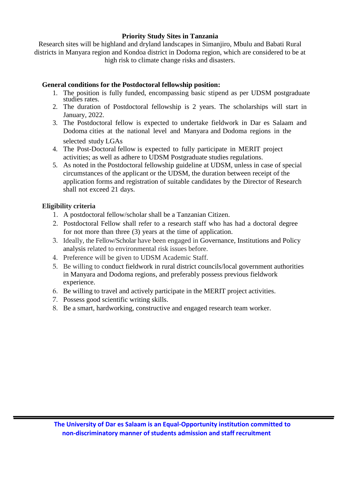#### **Priority Study Sites in Tanzania**

Research sites will be highland and dryland landscapes in Simanjiro, Mbulu and Babati Rural districts in Manyara region and Kondoa district in Dodoma region, which are considered to be at high risk to climate change risks and disasters.

### **General conditions for the Postdoctoral fellowship position:**

- 1. The position is fully funded, encompassing basic stipend as per UDSM postgraduate studies rates.
- 2. The duration of Postdoctoral fellowship is 2 years. The scholarships will start in January, 2022.
- 3. The Postdoctoral fellow is expected to undertake fieldwork in Dar es Salaam and Dodoma cities at the national level and Manyara and Dodoma regions in the selected study LGAs
- 4. The Post-Doctoral fellow is expected to fully participate in MERIT project activities; as well as adhere to UDSM Postgraduate studies regulations.
- 5. As noted in the Postdoctoral fellowship guideline at UDSM, unless in case of special circumstances of the applicant or the UDSM, the duration between receipt of the application forms and registration of suitable candidates by the Director of Research shall not exceed 21 days.

### **Eligibility criteria**

- 1. A postdoctoral fellow/scholar shall be a Tanzanian Citizen.
- 2. Postdoctoral Fellow shall refer to a research staff who has had a doctoral degree for not more than three (3) years at the time of application.
- 3. Ideally, the Fellow/Scholar have been engaged in Governance, Institutions and Policy analysis related to environmental risk issues before.
- 4. Preference will be given to UDSM Academic Staff.
- 5. Be willing to conduct fieldwork in rural district councils/local government authorities in Manyara and Dodoma regions, and preferably possess previous fieldwork experience.
- 6. Be willing to travel and actively participate in the MERIT project activities.
- 7. Possess good scientific writing skills.
- 8. Be a smart, hardworking, constructive and engaged research team worker.